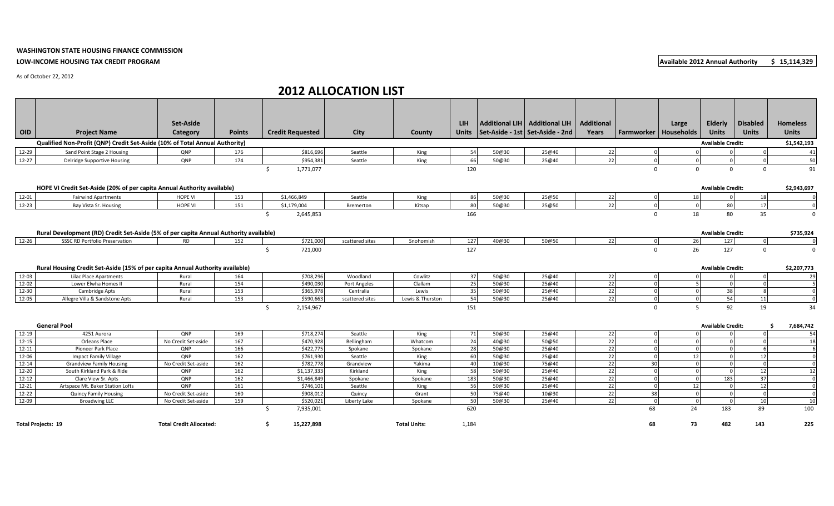## **WASHINGTON STATE HOUSING FINANCE COMMISSION LOW-INCOME HOUSING TAX CREDIT PROGRAM Available 2012 Annual Authority \$ 15,114,329**

As of October 22, 2012

## **2012 ALLOCATION LIST**

|                           |                                                                                       | <b>Set-Aside</b>               |               |                         |                 |                     | LIH.      |       | Additional LIH   Additional LIH           | <b>Additional</b> |              | Large                   | Elderly                  | <b>Disabled</b> | <b>Homeless</b>         |
|---------------------------|---------------------------------------------------------------------------------------|--------------------------------|---------------|-------------------------|-----------------|---------------------|-----------|-------|-------------------------------------------|-------------------|--------------|-------------------------|--------------------------|-----------------|-------------------------|
| <b>OID</b>                | <b>Project Name</b>                                                                   | Category                       | <b>Points</b> | <b>Credit Requested</b> | <b>City</b>     | County              |           |       | Units   Set-Aside - 1st   Set-Aside - 2nd | Years             |              | Farmworker   Households | <b>Units</b>             | <b>Units</b>    | <b>Units</b>            |
|                           | Qualified Non-Profit (QNP) Credit Set-Aside (10% of Total Annual Authority)           |                                |               |                         |                 |                     |           |       |                                           |                   |              |                         | <b>Available Credit:</b> |                 | \$1,542,193             |
| 12-29                     | Sand Point Stage 2 Housing                                                            | QNP                            | 176           | \$816,696               | Seattle         | King                | 54        | 50@30 | 25@40                                     | 22                |              |                         |                          |                 | 41                      |
| $12 - 27$                 | Delridge Supportive Housing                                                           | QNP                            | 174           | \$954,381               | Seattle         | King                | 66        | 50@30 | 25@40                                     | 22                |              | $\Omega$                |                          |                 | 50                      |
|                           |                                                                                       |                                |               | Ŝ.<br>1,771,077         |                 |                     | 120       |       |                                           |                   | $\mathbf 0$  | $\mathbf{0}$            | $\mathbf{0}$             | $\mathbf 0$     | 91                      |
|                           |                                                                                       |                                |               |                         |                 |                     |           |       |                                           |                   |              |                         |                          |                 |                         |
|                           | HOPE VI Credit Set-Aside (20% of per capita Annual Authority available)               |                                |               |                         |                 |                     |           |       |                                           |                   |              |                         | <b>Available Credit:</b> |                 | \$2,943,697             |
| 12-01                     | <b>Fairwind Apartments</b>                                                            | <b>HOPE VI</b>                 | 153           | \$1,466,849             | Seattle         | King                | 86        | 50@30 | 25@50                                     | 22                |              | 18                      |                          | 18              | $\Omega$                |
| 12-23                     | Bay Vista Sr. Housing                                                                 | <b>HOPE VI</b>                 | 151           | \$1,179,004             | Bremerton       | Kitsap              | 80        | 50@30 | 25@50                                     | 22                |              |                         | 80                       | 17              | $\overline{0}$          |
|                           |                                                                                       |                                |               | Ŝ.<br>2,645,853         |                 |                     | 166       |       |                                           |                   | $\mathbf 0$  | 18                      | 80                       | 35              | $\mathbf 0$             |
|                           |                                                                                       |                                |               |                         |                 |                     |           |       |                                           |                   |              |                         |                          |                 |                         |
|                           | Rural Development (RD) Credit Set-Aside (5% of per capita Annual Authority available) |                                |               |                         |                 |                     |           |       |                                           |                   |              |                         | <b>Available Credit:</b> |                 | \$735,924               |
| 12-26                     | <b>SSSC RD Portfolio Preservation</b>                                                 | <b>RD</b>                      | 152           | \$721,000               | scattered sites | Snohomish           | 127       | 40@30 | 50@50                                     | 22                |              | 26                      | 127                      | $\Omega$        | $\Omega$                |
|                           |                                                                                       |                                |               | Ŝ.<br>721,000           |                 |                     | 127       |       |                                           |                   | $\mathbf{0}$ | 26                      | 127                      | $\mathbf{0}$    | $\overline{0}$          |
|                           |                                                                                       |                                |               |                         |                 |                     |           |       |                                           |                   |              |                         |                          |                 |                         |
|                           | Rural Housing Credit Set-Aside (15% of per capita Annual Authority available)         |                                |               |                         |                 |                     |           |       |                                           |                   |              |                         | <b>Available Credit:</b> |                 | \$2,207,773             |
| 12-03                     | Lilac Place Apartments                                                                | Rural                          | 164           | \$708,296               | Woodland        | Cowlitz             | 37        | 50@30 | 25@40                                     | 22                |              |                         |                          |                 | 29                      |
| 12-02                     | Lower Elwha Homes II                                                                  | Rural                          | 154           | \$490,030               | Port Angeles    | Clallam             | 25        | 50@30 | 25@40                                     | 22                |              |                         |                          |                 | -5                      |
| 12-30                     | Cambridge Apts                                                                        | Rural                          | 153           | \$365,978               | Centralia       | Lewis               | 35        | 50@30 | 25@40                                     | 22                |              | $\Omega$                | 38                       |                 | $\overline{\mathbf{0}}$ |
| 12-05                     | Allegre Villa & Sandstone Apts                                                        | Rural                          | 153           | \$590,663               | scattered sites | Lewis & Thurston    | 54        | 50@30 | 25@40                                     | 22                |              | $\Omega$                | 54                       | 11              | $\Omega$                |
|                           |                                                                                       |                                |               | 2,154,967<br>$\zeta$    |                 |                     | 151       |       |                                           |                   | $\mathbf{0}$ | .5                      | 92                       | 19              | 34                      |
|                           |                                                                                       |                                |               |                         |                 |                     |           |       |                                           |                   |              |                         |                          |                 |                         |
|                           | <b>General Pool</b>                                                                   |                                |               |                         |                 |                     |           |       |                                           |                   |              |                         | <b>Available Credit:</b> |                 | 7,684,742<br>Ŝ.         |
| $12-19$                   | 4251 Aurora                                                                           | <b>ONP</b>                     | 169           | \$718,274               | Seattle         | King                | <b>71</b> | 50@30 | 25@40                                     | 22                |              |                         |                          | $\Omega$        | 54                      |
| $12 - 15$                 | Orleans Place                                                                         | No Credit Set-aside            | 167           | \$470,928               | Bellingham      | Whatcom             | 24        | 40@30 | 50@50                                     | 22                |              |                         |                          |                 | 18                      |
| 12-11                     | Pioneer Park Place                                                                    | QNP                            | 166           | \$422,775               | Spokane         | Spokane             | 28        | 50@30 | 25@40                                     | 22                |              |                         |                          |                 | 6                       |
| 12-06                     | Impact Family Village                                                                 | QNP                            | 162           | \$761,930               | Seattle         | King                | 60        | 50@30 | 25@40                                     | 22                |              | 12                      |                          | 12              | $\overline{0}$          |
| $12 - 14$                 | <b>Grandview Family Housing</b>                                                       | No Credit Set-aside            | 162           | \$782,778               | Grandview       | Yakima              | 40        | 10@30 | 75@40                                     | 22                | 30           | $\Omega$                |                          |                 | $\overline{0}$          |
| 12-20                     | South Kirkland Park & Ride                                                            | QNP                            | 162           | \$1,137,333             | Kirkland        | King                | 58        | 50@30 | 25@40                                     | 22                |              | $\sqrt{ }$              |                          | 12              | 12                      |
| $12 - 12$                 | Clare View Sr. Apts                                                                   | QNP                            | 162           | \$1,466,849             | Spokane         | Spokane             | 183       | 50@30 | 25@40                                     | 22                |              | - C                     | 183                      | 37              | $\overline{0}$          |
| 12-21                     | Artspace Mt. Baker Station Lofts                                                      | QNP                            | 161           | \$746,101               | Seattle         | King                | 56        | 50@30 | 25@40                                     | 22                |              | 12                      |                          | 12              | $\overline{0}$          |
| 12-22                     | <b>Quincy Family Housing</b>                                                          | No Credit Set-aside            | 160           | \$908,012               | Quincy          | Grant               | 50        | 75@40 | 10@30                                     | 22                | 38           | $\sqrt{ }$              |                          |                 | $\overline{0}$          |
| 12-09                     | <b>Broadwing LLC</b>                                                                  | No Credit Set-aside            | 159           | \$520,021               | Liberty Lake    | Spokane             | 50        | 50@30 | 25@40                                     | 22                | $\Omega$     | $\Omega$                | $\cap$                   | 10 <sup>1</sup> | 10                      |
|                           |                                                                                       |                                |               | 7,935,001<br>Ŝ.         |                 |                     | 620       |       |                                           |                   | 68           | 24                      | 183                      | 89              | 100                     |
| <b>Total Projects: 19</b> |                                                                                       | <b>Total Credit Allocated:</b> |               | 15,227,898<br>Ŝ.        |                 | <b>Total Units:</b> | 1,184     |       |                                           |                   | 68           | 73                      | 482                      | 143             | 225                     |